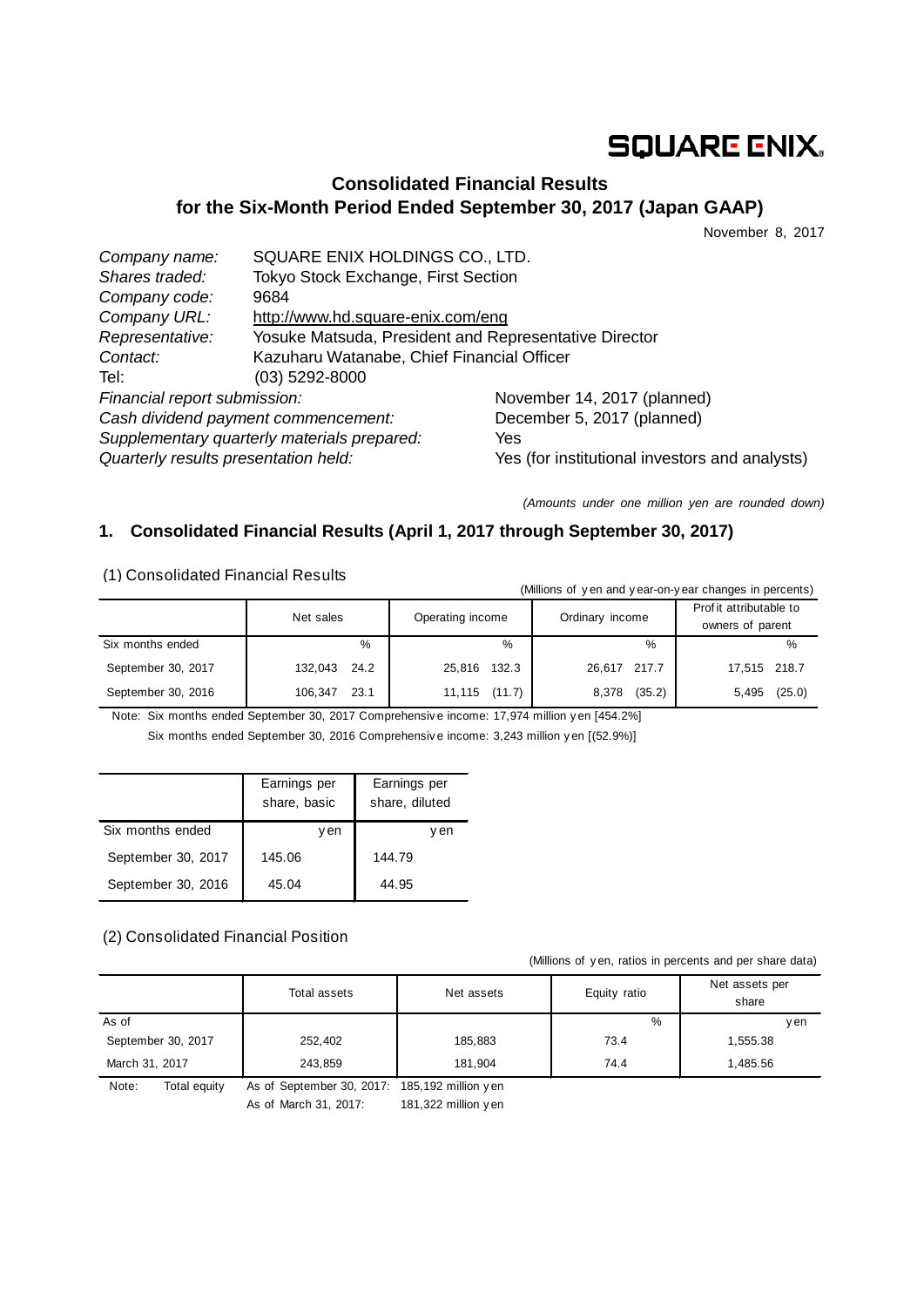# **SQUARE ENIX.**

## **Consolidated Financial Results for the Six-Month Period Ended September 30, 2017 (Japan GAAP)**

November 8, 2017

| Company name:                               | SQUARE ENIX HOLDINGS CO., LTD.                        |                                                |  |
|---------------------------------------------|-------------------------------------------------------|------------------------------------------------|--|
| Shares traded:                              | Tokyo Stock Exchange, First Section                   |                                                |  |
| Company code:                               | 9684                                                  |                                                |  |
| Company URL:                                | http://www.hd.square-enix.com/eng                     |                                                |  |
| Representative:                             | Yosuke Matsuda, President and Representative Director |                                                |  |
| Contact:                                    | Kazuharu Watanabe, Chief Financial Officer            |                                                |  |
| Tel:                                        | $(03)$ 5292-8000                                      |                                                |  |
| Financial report submission:                |                                                       | November 14, 2017 (planned)                    |  |
| Cash dividend payment commencement:         |                                                       | December 5, 2017 (planned)                     |  |
| Supplementary quarterly materials prepared: |                                                       | Yes                                            |  |
| Quarterly results presentation held:        |                                                       | Yes (for institutional investors and analysts) |  |

*(Amounts under one million yen are rounded down)*

## **1. Consolidated Financial Results (April 1, 2017 through September 30, 2017)**

(1) Consolidated Financial Results

| (Millions of yen and year-on-year changes in percents) |                 |                  |                 |                                             |  |  |
|--------------------------------------------------------|-----------------|------------------|-----------------|---------------------------------------------|--|--|
|                                                        | Net sales       | Operating income | Ordinary income | Prof it attributable to<br>owners of parent |  |  |
| Six months ended                                       | %               | %                | $\%$            | %                                           |  |  |
| September 30, 2017                                     | 132,043<br>24.2 | 132.3<br>25,816  | 26,617 217.7    | 17.515 218.7                                |  |  |
| September 30, 2016                                     | 23.1<br>106.347 | 11,115 (11.7)    | (35.2)<br>8,378 | (25.0)<br>5,495                             |  |  |

Note: Six months ended September 30, 2017 Comprehensiv e income: 17,974 million y en [454.2%] Six months ended September 30, 2016 Comprehensiv e income: 3,243 million y en [(52.9%)]

|                    | Earnings per<br>share, basic | Earnings per<br>share, diluted |
|--------------------|------------------------------|--------------------------------|
| Six months ended   | y en                         | v en                           |
| September 30, 2017 | 145.06                       | 144.79                         |
| September 30, 2016 | 45.04                        | 44.95                          |

## (2) Consolidated Financial Position

(Millions of y en, ratios in percents and per share data)

|                       | Total assets                                   | Net assets | Equity ratio | Net assets per<br>share |
|-----------------------|------------------------------------------------|------------|--------------|-------------------------|
| As of                 |                                                |            | %            | y en                    |
| September 30, 2017    | 252,402                                        | 185,883    | 73.4         | 1,555.38                |
| March 31, 2017        | 243.859                                        | 181.904    | 74.4         | 1.485.56                |
| Note:<br>Total equity | As of September 30, 2017: 185, 192 million yen |            |              |                         |

As of March 31, 2017: 181,322 million y en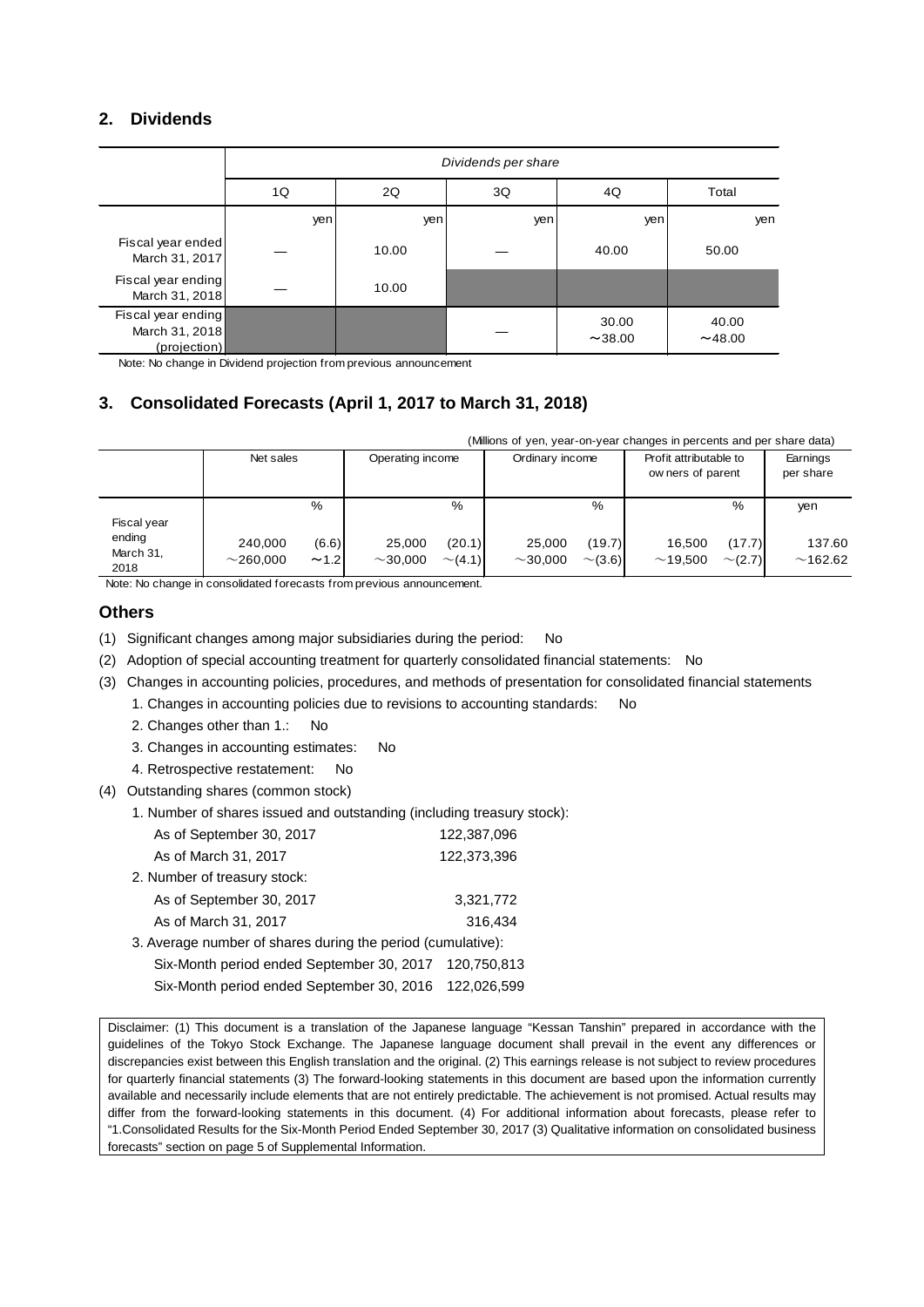## **2. Dividends**

|                                                      | Dividends per share |       |          |                 |                  |  |  |
|------------------------------------------------------|---------------------|-------|----------|-----------------|------------------|--|--|
|                                                      | 1Q                  | 2Q    | 3Q<br>4Q |                 |                  |  |  |
|                                                      | yen                 | yen   | yen      | yen             | yen              |  |  |
| Fiscal year ended<br>March 31, 2017                  |                     | 10.00 |          | 40.00           | 50.00            |  |  |
| Fiscal year ending<br>March 31, 2018                 |                     | 10.00 |          |                 |                  |  |  |
| Fiscal year ending<br>March 31, 2018<br>(projection) |                     |       |          | 30.00<br>~14.00 | 40.00<br>~148.00 |  |  |

Note: No change in Dividend projection from previous announcement

## **3. Consolidated Forecasts (April 1, 2017 to March 31, 2018)**

| (Millions of yen, year-on-year changes in percents and per share data) |  |  |  |
|------------------------------------------------------------------------|--|--|--|
|                                                                        |  |  |  |

|                             | Net sales               |               | Operating income        |                        | Ordinary income         |                        | Profit attributable to<br>ow ners of parent |                        | Earnings<br>per share |
|-----------------------------|-------------------------|---------------|-------------------------|------------------------|-------------------------|------------------------|---------------------------------------------|------------------------|-----------------------|
| Fiscal year                 |                         | %             |                         | %                      |                         | %                      |                                             | %                      | yen                   |
| ending<br>March 31,<br>2018 | 240.000<br>$~1$ 260.000 | (6.6)<br>~1.2 | 25,000<br>$\sim$ 30.000 | (20.1)<br>$\sim$ (4.1) | 25,000<br>$\sim$ 30.000 | (19.7)<br>$\sim$ (3.6) | 16.500<br>~19.500                           | (17.7)<br>$\sim$ (2.7) | 137.60<br>~162.62     |

Note: No change in consolidated forecasts from previous announcement.

#### **Others**

- (1) Significant changes among major subsidiaries during the period: No
- (2) Adoption of special accounting treatment for quarterly consolidated financial statements: No
- (3) Changes in accounting policies, procedures, and methods of presentation for consolidated financial statements
	- 1. Changes in accounting policies due to revisions to accounting standards: No
		- 2. Changes other than 1.: No
		- 3. Changes in accounting estimates: No
		- 4. Retrospective restatement: No
- (4) Outstanding shares (common stock)
	- 1. Number of shares issued and outstanding (including treasury stock):

| As of September 30, 2017                                    | 122,387,096 |
|-------------------------------------------------------------|-------------|
| As of March 31, 2017                                        | 122,373,396 |
| 2. Number of treasury stock:                                |             |
| As of September 30, 2017                                    | 3,321,772   |
| As of March 31, 2017                                        | 316,434     |
| 3. Average number of shares during the period (cumulative): |             |
| Six-Month period ended September 30, 2017                   | 120,750,813 |
| Six-Month period ended September 30, 2016                   | 122.026.599 |
|                                                             |             |

Disclaimer: (1) This document is a translation of the Japanese language "Kessan Tanshin" prepared in accordance with the guidelines of the Tokyo Stock Exchange. The Japanese language document shall prevail in the event any differences or discrepancies exist between this English translation and the original. (2) This earnings release is not subject to review procedures for quarterly financial statements (3) The forward-looking statements in this document are based upon the information currently available and necessarily include elements that are not entirely predictable. The achievement is not promised. Actual results may differ from the forward-looking statements in this document. (4) For additional information about forecasts, please refer to "1.Consolidated Results for the Six-Month Period Ended September 30, 2017 (3) Qualitative information on consolidated business forecasts" section on page 5 of Supplemental Information.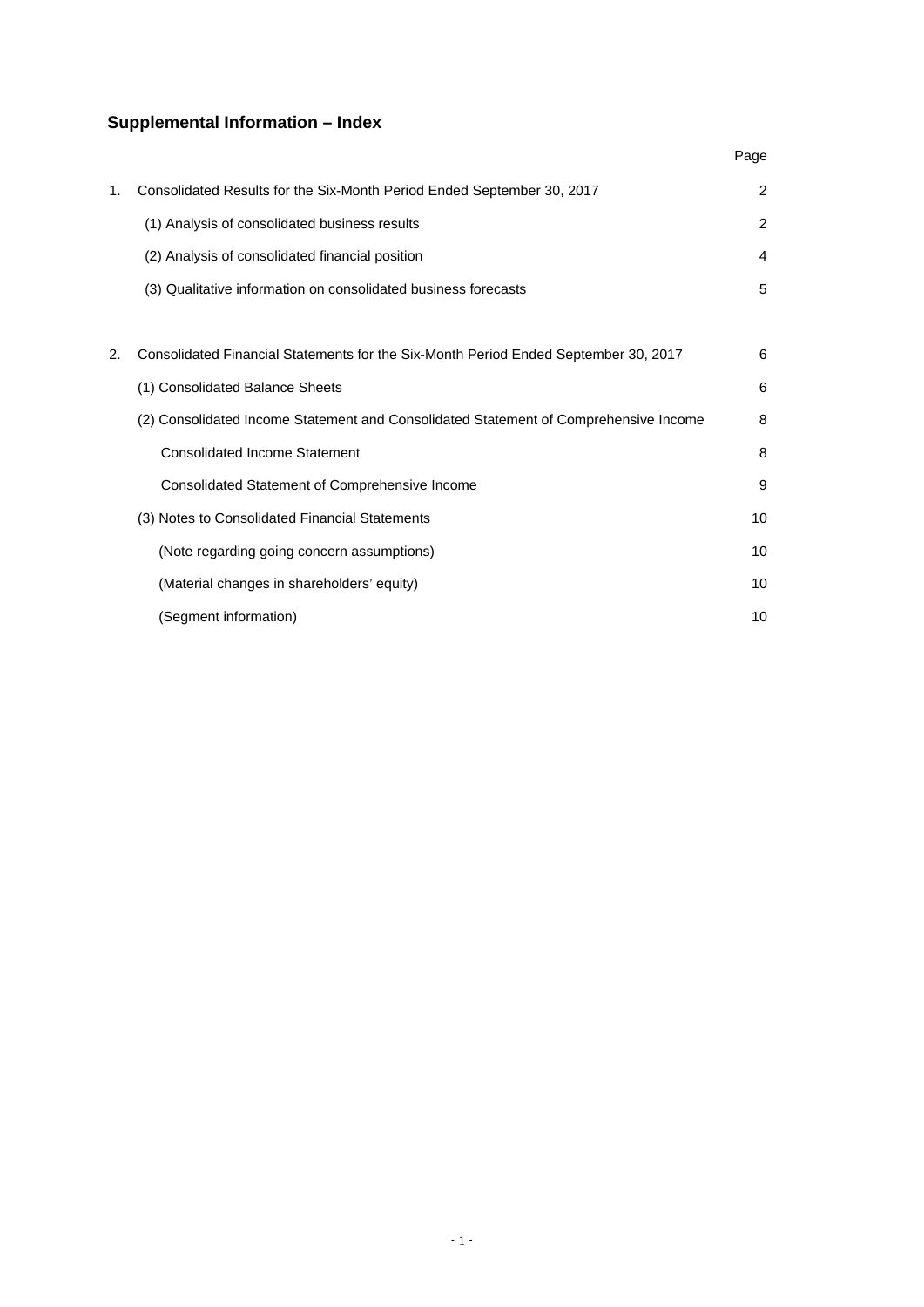## **Supplemental Information – Index**

|    |                                                                                      | Page |
|----|--------------------------------------------------------------------------------------|------|
| 1. | Consolidated Results for the Six-Month Period Ended September 30, 2017               | 2    |
|    | (1) Analysis of consolidated business results                                        | 2    |
|    | (2) Analysis of consolidated financial position                                      | 4    |
|    | (3) Qualitative information on consolidated business forecasts                       | 5    |
|    |                                                                                      |      |
| 2. | Consolidated Financial Statements for the Six-Month Period Ended September 30, 2017  | 6    |
|    | (1) Consolidated Balance Sheets                                                      | 6    |
|    | (2) Consolidated Income Statement and Consolidated Statement of Comprehensive Income | 8    |
|    | <b>Consolidated Income Statement</b>                                                 | 8    |
|    | Consolidated Statement of Comprehensive Income                                       | 9    |
|    | (3) Notes to Consolidated Financial Statements                                       | 10   |
|    | (Note regarding going concern assumptions)                                           | 10   |
|    | (Material changes in shareholders' equity)                                           | 10   |
|    | (Segment information)                                                                | 10   |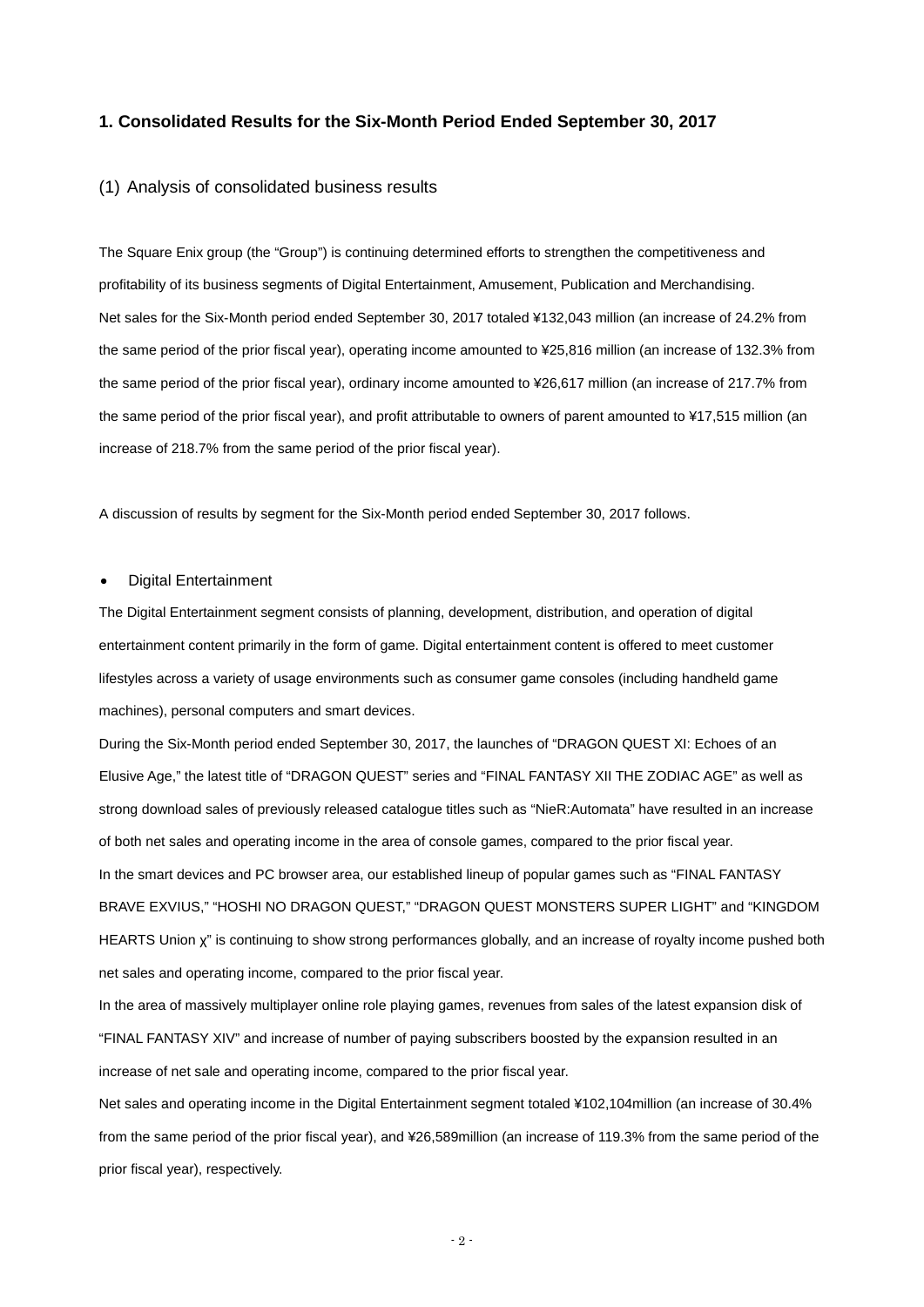#### **1. Consolidated Results for the Six-Month Period Ended September 30, 2017**

#### (1) Analysis of consolidated business results

The Square Enix group (the "Group") is continuing determined efforts to strengthen the competitiveness and profitability of its business segments of Digital Entertainment, Amusement, Publication and Merchandising. Net sales for the Six-Month period ended September 30, 2017 totaled ¥132,043 million (an increase of 24.2% from the same period of the prior fiscal year), operating income amounted to ¥25,816 million (an increase of 132.3% from the same period of the prior fiscal year), ordinary income amounted to ¥26,617 million (an increase of 217.7% from the same period of the prior fiscal year), and profit attributable to owners of parent amounted to ¥17,515 million (an increase of 218.7% from the same period of the prior fiscal year).

A discussion of results by segment for the Six-Month period ended September 30, 2017 follows.

#### • Digital Entertainment

The Digital Entertainment segment consists of planning, development, distribution, and operation of digital entertainment content primarily in the form of game. Digital entertainment content is offered to meet customer lifestyles across a variety of usage environments such as consumer game consoles (including handheld game machines), personal computers and smart devices.

During the Six-Month period ended September 30, 2017, the launches of "DRAGON QUEST XI: Echoes of an Elusive Age," the latest title of "DRAGON QUEST" series and "FINAL FANTASY XII THE ZODIAC AGE" as well as strong download sales of previously released catalogue titles such as "NieR:Automata" have resulted in an increase of both net sales and operating income in the area of console games, compared to the prior fiscal year. In the smart devices and PC browser area, our established lineup of popular games such as "FINAL FANTASY BRAVE EXVIUS," "HOSHI NO DRAGON QUEST," "DRAGON QUEST MONSTERS SUPER LIGHT" and "KINGDOM HEARTS Union χ" is continuing to show strong performances globally, and an increase of royalty income pushed both net sales and operating income, compared to the prior fiscal year.

In the area of massively multiplayer online role playing games, revenues from sales of the latest expansion disk of "FINAL FANTASY XIV" and increase of number of paying subscribers boosted by the expansion resulted in an increase of net sale and operating income, compared to the prior fiscal year.

Net sales and operating income in the Digital Entertainment segment totaled ¥102,104million (an increase of 30.4% from the same period of the prior fiscal year), and ¥26,589million (an increase of 119.3% from the same period of the prior fiscal year), respectively.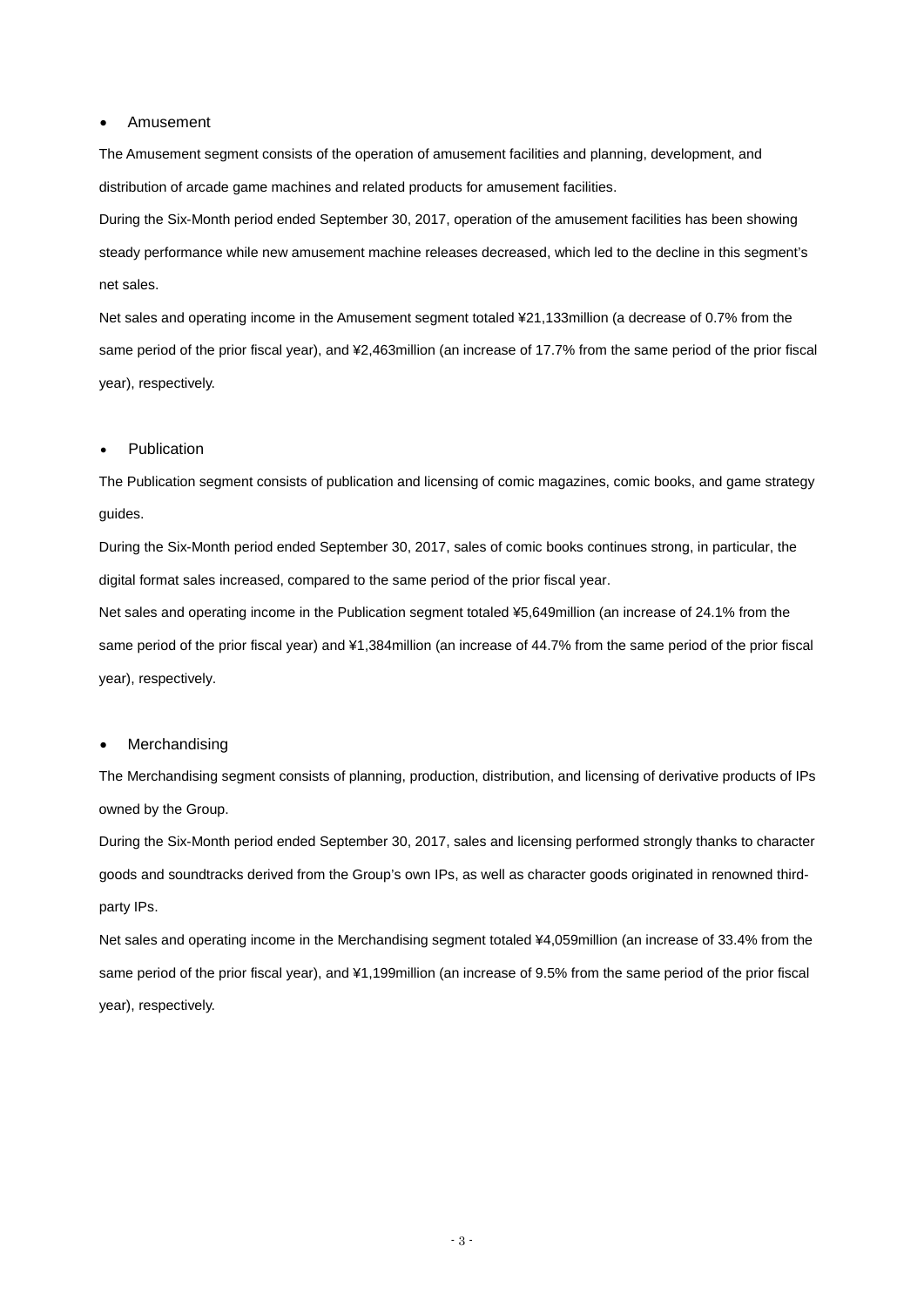#### • Amusement

The Amusement segment consists of the operation of amusement facilities and planning, development, and distribution of arcade game machines and related products for amusement facilities.

During the Six-Month period ended September 30, 2017, operation of the amusement facilities has been showing steady performance while new amusement machine releases decreased, which led to the decline in this segment's net sales.

Net sales and operating income in the Amusement segment totaled ¥21,133million (a decrease of 0.7% from the same period of the prior fiscal year), and ¥2,463million (an increase of 17.7% from the same period of the prior fiscal year), respectively.

#### **Publication**

The Publication segment consists of publication and licensing of comic magazines, comic books, and game strategy guides.

During the Six-Month period ended September 30, 2017, sales of comic books continues strong, in particular, the digital format sales increased, compared to the same period of the prior fiscal year.

Net sales and operating income in the Publication segment totaled ¥5,649million (an increase of 24.1% from the same period of the prior fiscal year) and ¥1,384million (an increase of 44.7% from the same period of the prior fiscal year), respectively.

#### **Merchandising**

The Merchandising segment consists of planning, production, distribution, and licensing of derivative products of IPs owned by the Group.

During the Six-Month period ended September 30, 2017, sales and licensing performed strongly thanks to character goods and soundtracks derived from the Group's own IPs, as well as character goods originated in renowned thirdparty IPs.

Net sales and operating income in the Merchandising segment totaled ¥4,059million (an increase of 33.4% from the same period of the prior fiscal year), and ¥1,199million (an increase of 9.5% from the same period of the prior fiscal year), respectively.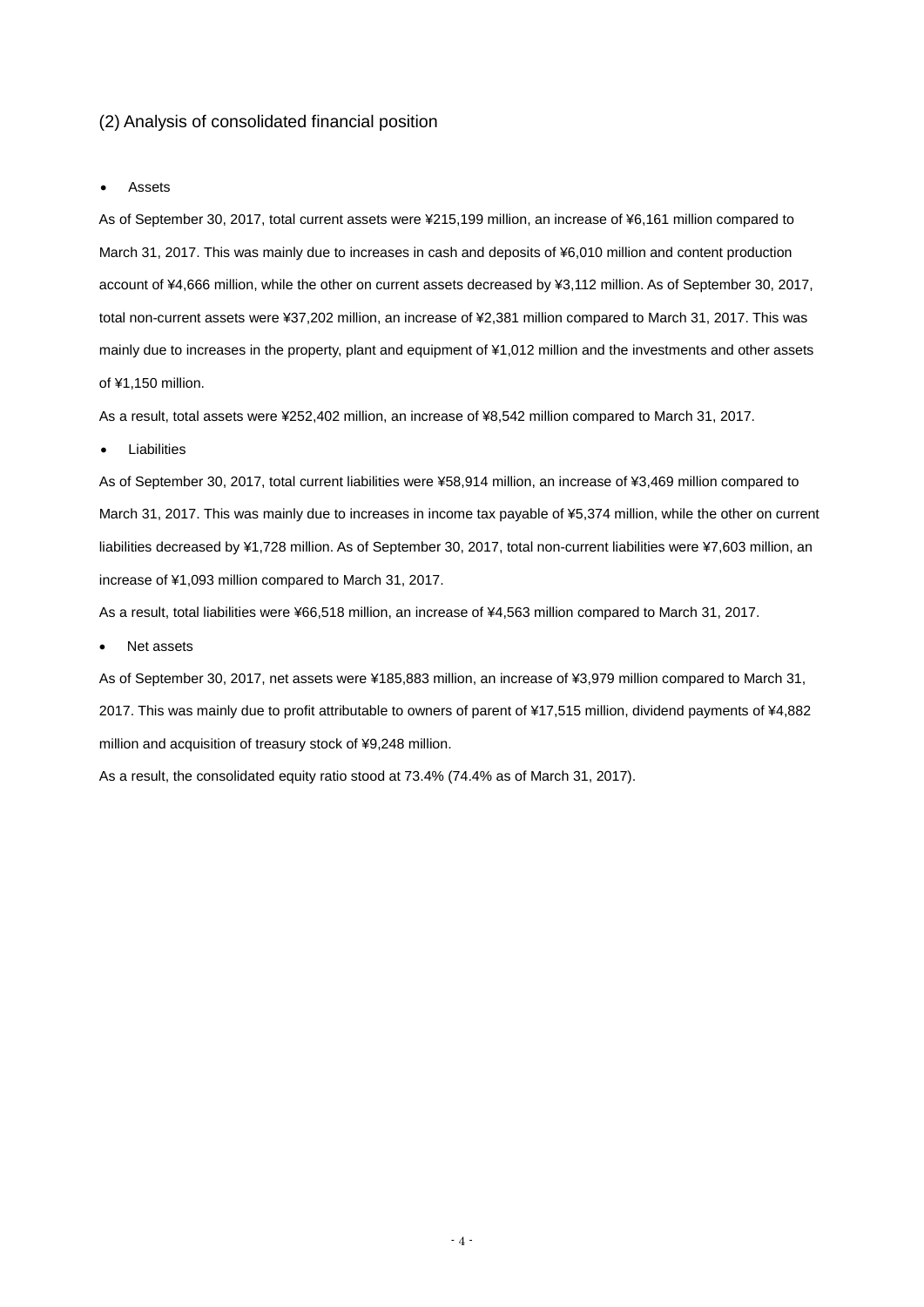#### (2) Analysis of consolidated financial position

#### **Assets**

As of September 30, 2017, total current assets were ¥215,199 million, an increase of ¥6,161 million compared to March 31, 2017. This was mainly due to increases in cash and deposits of ¥6,010 million and content production account of ¥4,666 million, while the other on current assets decreased by ¥3,112 million. As of September 30, 2017, total non-current assets were ¥37,202 million, an increase of ¥2,381 million compared to March 31, 2017. This was mainly due to increases in the property, plant and equipment of ¥1,012 million and the investments and other assets of ¥1,150 million.

As a result, total assets were ¥252,402 million, an increase of ¥8,542 million compared to March 31, 2017.

#### **Liabilities**

As of September 30, 2017, total current liabilities were ¥58,914 million, an increase of ¥3,469 million compared to March 31, 2017. This was mainly due to increases in income tax payable of ¥5,374 million, while the other on current liabilities decreased by ¥1,728 million. As of September 30, 2017, total non-current liabilities were ¥7,603 million, an increase of ¥1,093 million compared to March 31, 2017.

As a result, total liabilities were ¥66,518 million, an increase of ¥4,563 million compared to March 31, 2017.

Net assets

As of September 30, 2017, net assets were ¥185,883 million, an increase of ¥3,979 million compared to March 31, 2017. This was mainly due to profit attributable to owners of parent of ¥17,515 million, dividend payments of ¥4,882 million and acquisition of treasury stock of ¥9,248 million.

As a result, the consolidated equity ratio stood at 73.4% (74.4% as of March 31, 2017).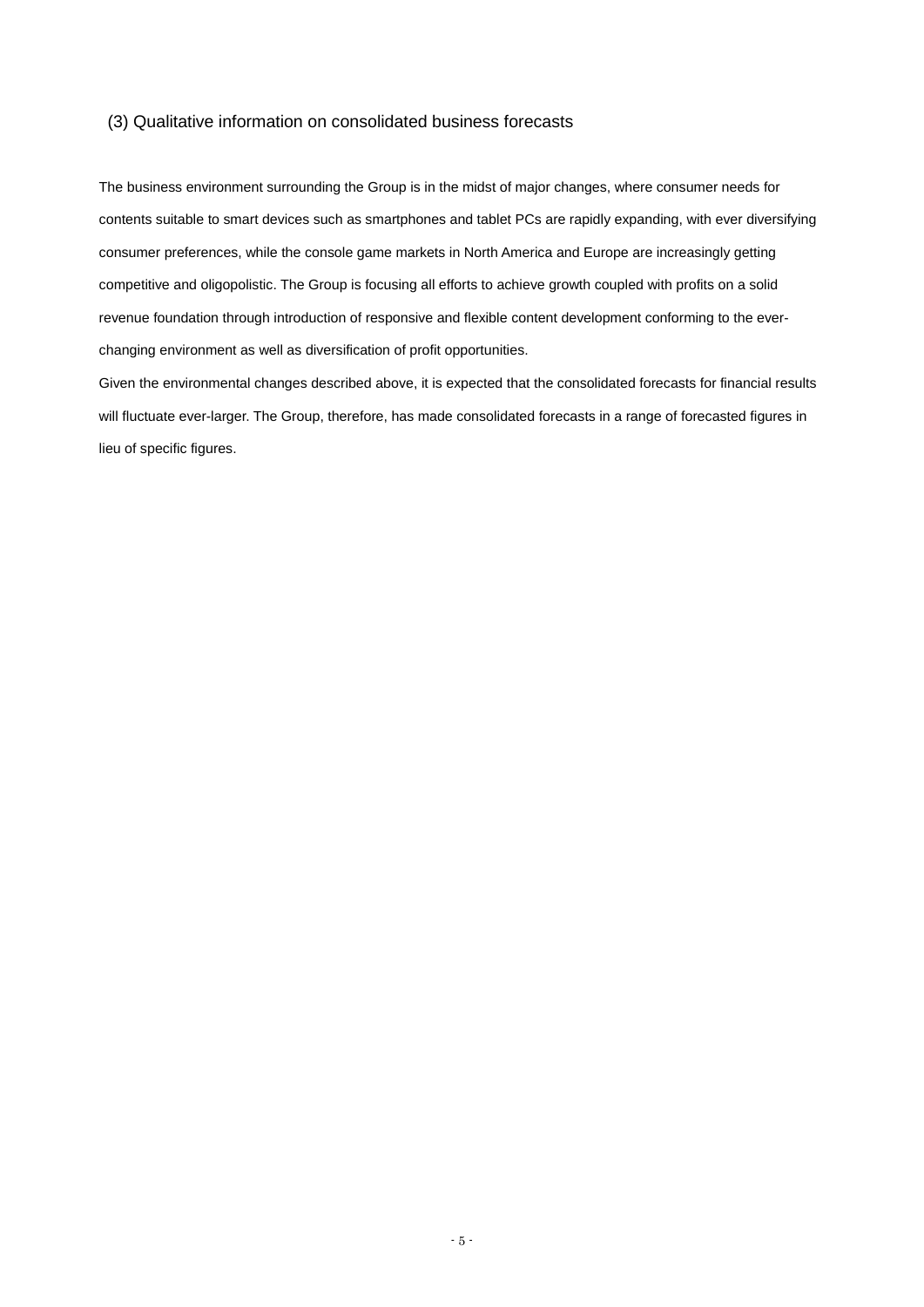#### (3) Qualitative information on consolidated business forecasts

The business environment surrounding the Group is in the midst of major changes, where consumer needs for contents suitable to smart devices such as smartphones and tablet PCs are rapidly expanding, with ever diversifying consumer preferences, while the console game markets in North America and Europe are increasingly getting competitive and oligopolistic. The Group is focusing all efforts to achieve growth coupled with profits on a solid revenue foundation through introduction of responsive and flexible content development conforming to the everchanging environment as well as diversification of profit opportunities.

Given the environmental changes described above, it is expected that the consolidated forecasts for financial results will fluctuate ever-larger. The Group, therefore, has made consolidated forecasts in a range of forecasted figures in lieu of specific figures.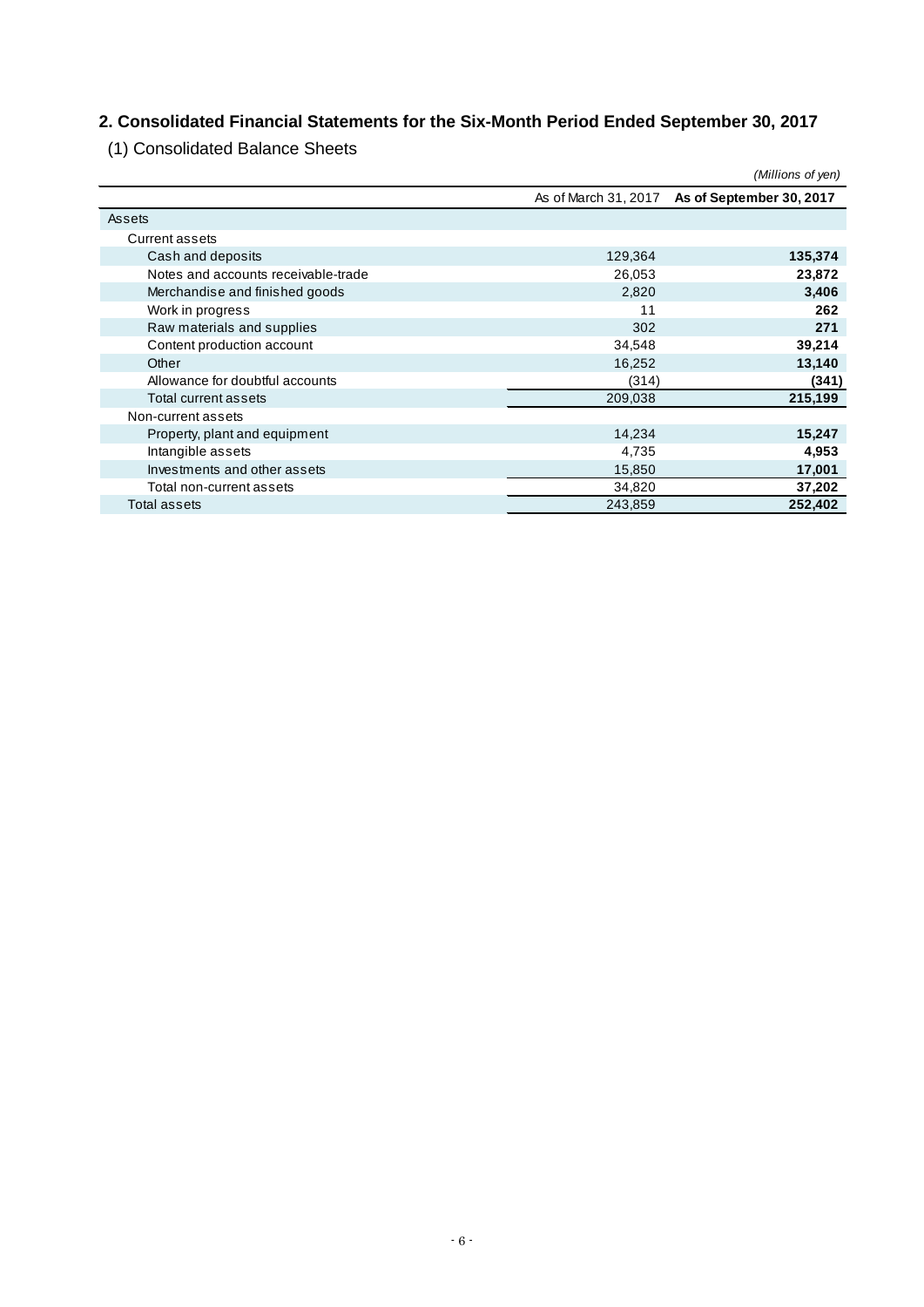## **2. Consolidated Financial Statements for the Six-Month Period Ended September 30, 2017**

(1) Consolidated Balance Sheets

|                                     |         | (Millions of yen)                             |
|-------------------------------------|---------|-----------------------------------------------|
|                                     |         | As of March 31, 2017 As of September 30, 2017 |
| Assets                              |         |                                               |
| <b>Current assets</b>               |         |                                               |
| Cash and deposits                   | 129,364 | 135,374                                       |
| Notes and accounts receivable-trade | 26,053  | 23,872                                        |
| Merchandise and finished goods      | 2,820   | 3,406                                         |
| Work in progress                    | 11      | 262                                           |
| Raw materials and supplies          | 302     | 271                                           |
| Content production account          | 34,548  | 39,214                                        |
| Other                               | 16,252  | 13,140                                        |
| Allowance for doubtful accounts     | (314)   | (341)                                         |
| Total current assets                | 209,038 | 215,199                                       |
| Non-current assets                  |         |                                               |
| Property, plant and equipment       | 14,234  | 15,247                                        |
| Intangible assets                   | 4,735   | 4,953                                         |
| Investments and other assets        | 15,850  | 17,001                                        |
| Total non-current assets            | 34,820  | 37,202                                        |
| Total assets                        | 243,859 | 252,402                                       |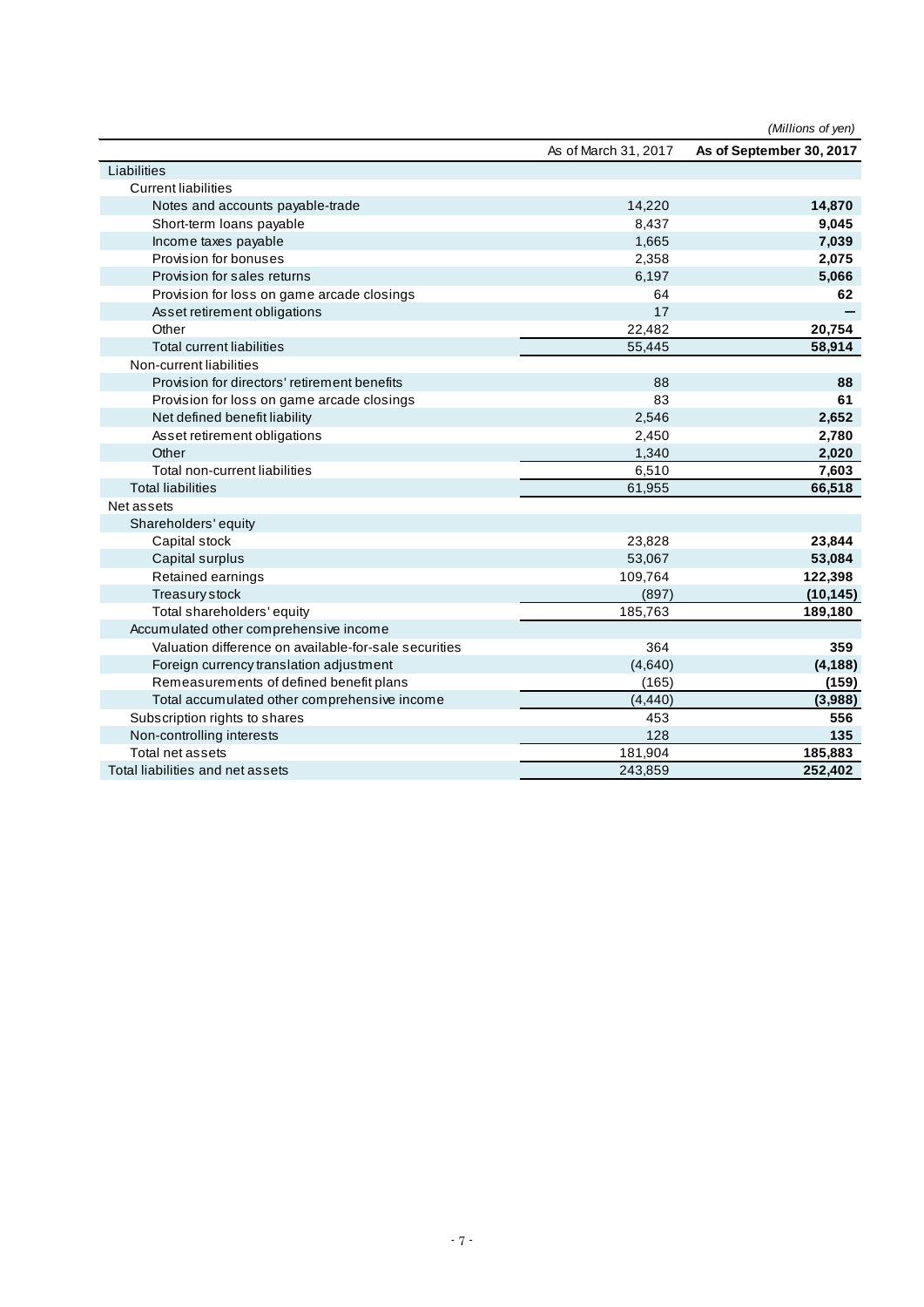|                                                       |                      | (Millions of yen)        |
|-------------------------------------------------------|----------------------|--------------------------|
|                                                       | As of March 31, 2017 | As of September 30, 2017 |
| Liabilities                                           |                      |                          |
| <b>Current liabilities</b>                            |                      |                          |
| Notes and accounts payable-trade                      | 14,220               | 14,870                   |
| Short-term loans payable                              | 8,437                | 9,045                    |
| Income taxes payable                                  | 1,665                | 7,039                    |
| Provision for bonuses                                 | 2,358                | 2,075                    |
| Provision for sales returns                           | 6,197                | 5,066                    |
| Provision for loss on game arcade closings            | 64                   | 62                       |
| Asset retirement obligations                          | 17                   |                          |
| Other                                                 | 22,482               | 20,754                   |
| <b>Total current liabilities</b>                      | 55,445               | 58,914                   |
| Non-current liabilities                               |                      |                          |
| Provision for directors' retirement benefits          | 88                   | 88                       |
| Provision for loss on game arcade closings            | 83                   | 61                       |
| Net defined benefit liability                         | 2,546                | 2,652                    |
| Asset retirement obligations                          | 2,450                | 2,780                    |
| Other                                                 | 1,340                | 2,020                    |
| Total non-current liabilities                         | 6,510                | 7,603                    |
| <b>Total liabilities</b>                              | 61,955               | 66,518                   |
| Net assets                                            |                      |                          |
| Shareholders' equity                                  |                      |                          |
| Capital stock                                         | 23,828               | 23,844                   |
| Capital surplus                                       | 53,067               | 53,084                   |
| Retained earnings                                     | 109,764              | 122,398                  |
| Treasury stock                                        | (897)                | (10, 145)                |
| Total shareholders' equity                            | 185,763              | 189,180                  |
| Accumulated other comprehensive income                |                      |                          |
| Valuation difference on available-for-sale securities | 364                  | 359                      |
| Foreign currency translation adjustment               | (4,640)              | (4, 188)                 |
| Remeasurements of defined benefit plans               | (165)                | (159)                    |
| Total accumulated other comprehensive income          | (4, 440)             | (3,988)                  |
| Subscription rights to shares                         | 453                  | 556                      |
| Non-controlling interests                             | 128                  | 135                      |
| Total net assets                                      | 181,904              | 185,883                  |
| Total liabilities and net assets                      | 243,859              | 252,402                  |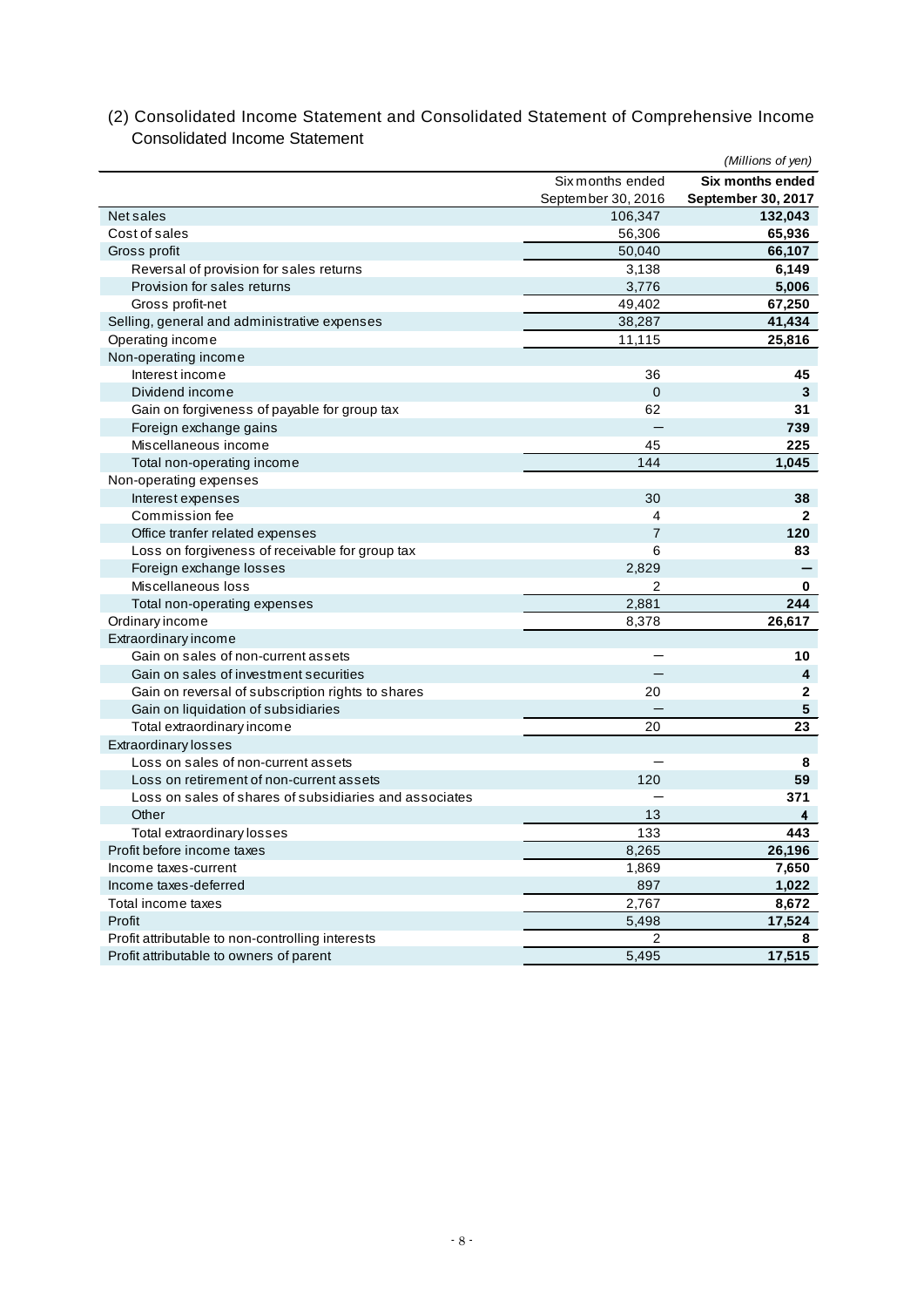|                                                        |                    | (Millions of yen)         |
|--------------------------------------------------------|--------------------|---------------------------|
|                                                        | Six months ended   | <b>Six months ended</b>   |
|                                                        | September 30, 2016 | <b>September 30, 2017</b> |
| Net sales                                              | 106,347            | 132,043                   |
| Cost of sales                                          | 56,306             | 65,936                    |
| Gross profit                                           | 50.040             | 66,107                    |
| Reversal of provision for sales returns                | 3,138              | 6,149                     |
| Provision for sales returns                            | 3,776              | 5,006                     |
| Gross profit-net                                       | 49,402             | 67,250                    |
| Selling, general and administrative expenses           | 38,287             | 41,434                    |
| Operating income                                       | 11,115             | 25,816                    |
| Non-operating income                                   |                    |                           |
| Interest income                                        | 36                 | 45                        |
| Dividend income                                        | $\mathbf 0$        | 3                         |
| Gain on forgiveness of payable for group tax           | 62                 | 31                        |
| Foreign exchange gains                                 |                    | 739                       |
| Miscellaneous income                                   | 45                 | 225                       |
| Total non-operating income                             | 144                | 1,045                     |
| Non-operating expenses                                 |                    |                           |
| Interest expenses                                      | 30                 | 38                        |
| Commission fee                                         | 4                  | $\mathbf{2}$              |
| Office tranfer related expenses                        | $\overline{7}$     | 120                       |
| Loss on forgiveness of receivable for group tax        | 6                  | 83                        |
| Foreign exchange losses                                | 2,829              |                           |
| Miscellaneous loss                                     | $\overline{2}$     | 0                         |
| Total non-operating expenses                           | 2,881              | 244                       |
| Ordinary income                                        | 8,378              | 26,617                    |
| Extraordinary income                                   |                    |                           |
| Gain on sales of non-current assets                    |                    | 10                        |
| Gain on sales of investment securities                 |                    | $\overline{\mathbf{4}}$   |
| Gain on reversal of subscription rights to shares      | 20                 | $\mathbf 2$               |
| Gain on liquidation of subsidiaries                    |                    | 5                         |
| Total extraordinary income                             | 20                 | 23                        |
| <b>Extraordinary losses</b>                            |                    |                           |
| Loss on sales of non-current assets                    |                    | 8                         |
| Loss on retirement of non-current assets               | 120                | 59                        |
| Loss on sales of shares of subsidiaries and associates |                    | 371                       |
| Other                                                  | 13                 | 4                         |
| Total extraordinary losses                             | 133                | 443                       |
| Profit before income taxes                             | 8,265              | 26,196                    |
| Income taxes-current                                   | 1,869              | 7,650                     |
| Income taxes-deferred                                  | 897                | 1,022                     |
| Total income taxes                                     | 2,767              | 8,672                     |
| Profit                                                 | 5,498              | 17,524                    |
| Profit attributable to non-controlling interests       | 2                  | 8                         |
| Profit attributable to owners of parent                | 5,495              | 17,515                    |
|                                                        |                    |                           |

(2) Consolidated Income Statement and Consolidated Statement of Comprehensive Income Consolidated Income Statement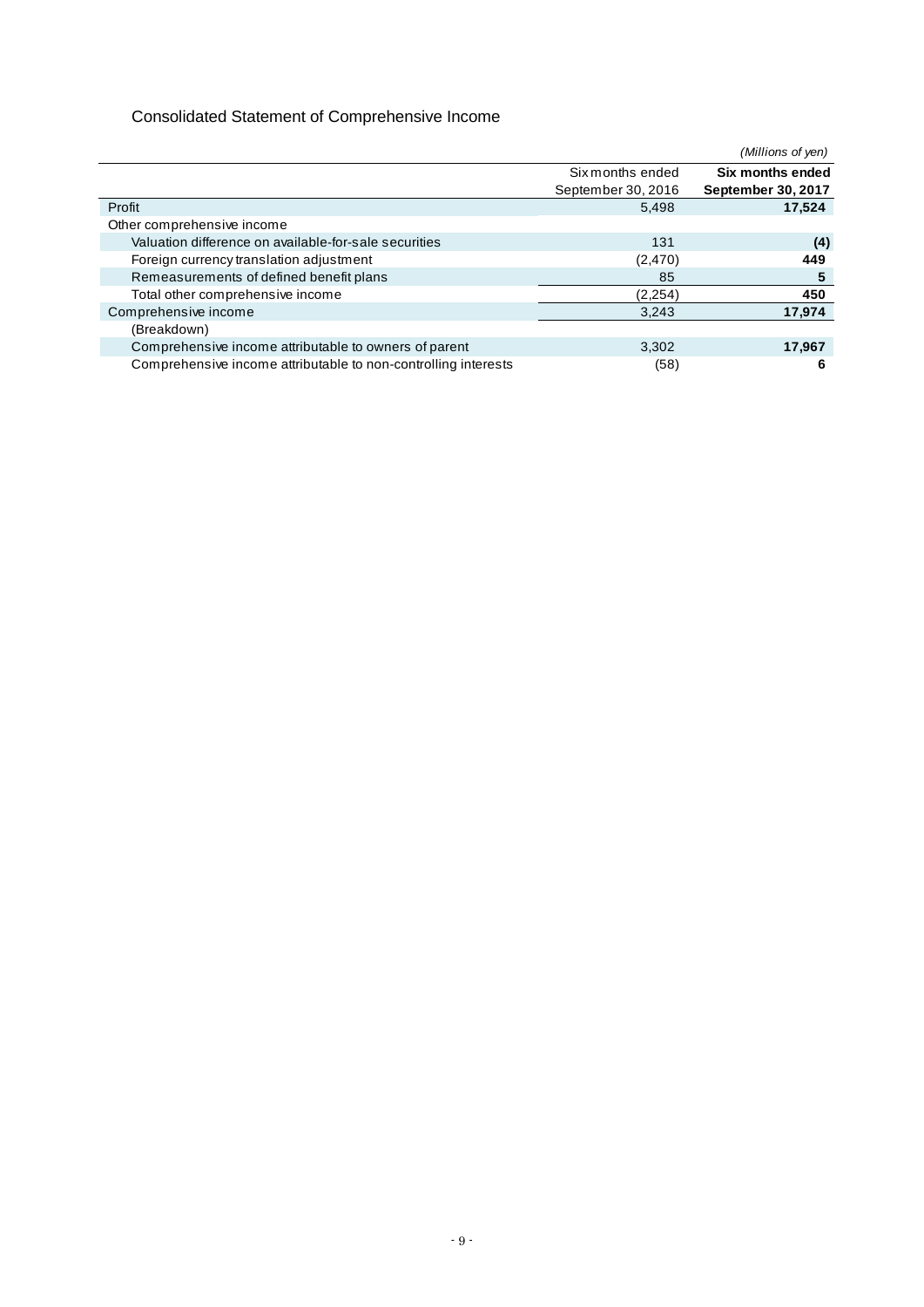## Consolidated Statement of Comprehensive Income

|                                                                | (Millions of yen)  |                    |  |
|----------------------------------------------------------------|--------------------|--------------------|--|
|                                                                | Six months ended   |                    |  |
|                                                                | September 30, 2016 | September 30, 2017 |  |
| Profit                                                         | 5,498              | 17,524             |  |
| Other comprehensive income                                     |                    |                    |  |
| Valuation difference on available-for-sale securities          | 131                | (4)                |  |
| Foreign currency translation adjustment                        | (2, 470)           | 449                |  |
| Remeasurements of defined benefit plans                        | 85                 | 5                  |  |
| Total other comprehensive income                               | (2,254)            | 450                |  |
| Comprehensive income                                           | 3,243              | 17,974             |  |
| (Breakdown)                                                    |                    |                    |  |
| Comprehensive income attributable to owners of parent          | 3,302              | 17,967             |  |
| Comprehensive income attributable to non-controlling interests | (58)               | 6                  |  |